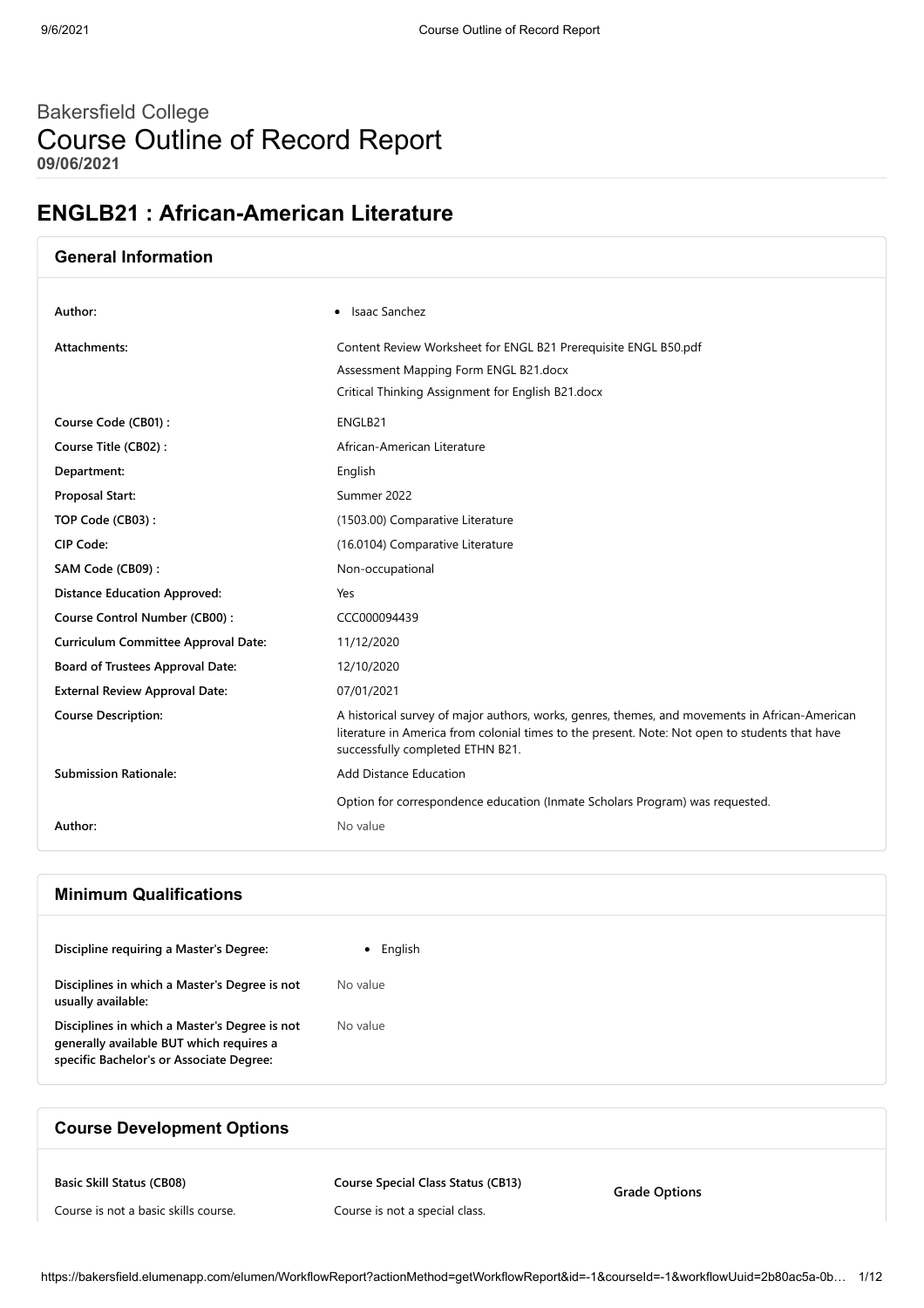# Bakersfield College Course Outline of Record Report **09/06/2021**

# **ENGLB21 : African-American Literature**

| <b>General Information</b>                 |                                                                                                                                                                                                                                      |
|--------------------------------------------|--------------------------------------------------------------------------------------------------------------------------------------------------------------------------------------------------------------------------------------|
| Author:                                    | • Isaac Sanchez                                                                                                                                                                                                                      |
| Attachments:                               | Content Review Worksheet for ENGL B21 Prerequisite ENGL B50.pdf                                                                                                                                                                      |
|                                            | Assessment Mapping Form ENGL B21.docx                                                                                                                                                                                                |
|                                            | Critical Thinking Assignment for English B21.docx                                                                                                                                                                                    |
| Course Code (CB01):                        | ENGLB21                                                                                                                                                                                                                              |
| Course Title (CB02):                       | African-American Literature                                                                                                                                                                                                          |
| Department:                                | English                                                                                                                                                                                                                              |
| Proposal Start:                            | Summer 2022                                                                                                                                                                                                                          |
| TOP Code (CB03):                           | (1503.00) Comparative Literature                                                                                                                                                                                                     |
| CIP Code:                                  | (16.0104) Comparative Literature                                                                                                                                                                                                     |
| SAM Code (CB09):                           | Non-occupational                                                                                                                                                                                                                     |
| <b>Distance Education Approved:</b>        | Yes                                                                                                                                                                                                                                  |
| Course Control Number (CB00):              | CCC000094439                                                                                                                                                                                                                         |
| <b>Curriculum Committee Approval Date:</b> | 11/12/2020                                                                                                                                                                                                                           |
| Board of Trustees Approval Date:           | 12/10/2020                                                                                                                                                                                                                           |
| <b>External Review Approval Date:</b>      | 07/01/2021                                                                                                                                                                                                                           |
| <b>Course Description:</b>                 | A historical survey of major authors, works, genres, themes, and movements in African-American<br>literature in America from colonial times to the present. Note: Not open to students that have<br>successfully completed ETHN B21. |
| <b>Submission Rationale:</b>               | <b>Add Distance Education</b>                                                                                                                                                                                                        |
|                                            | Option for correspondence education (Inmate Scholars Program) was requested.                                                                                                                                                         |
| Author:                                    | No value                                                                                                                                                                                                                             |

## **Minimum Qualifications**

| Discipline requiring a Master's Degree:                                                                                               | English  |
|---------------------------------------------------------------------------------------------------------------------------------------|----------|
| Disciplines in which a Master's Degree is not<br>usually available:                                                                   | No value |
| Disciplines in which a Master's Degree is not<br>generally available BUT which requires a<br>specific Bachelor's or Associate Degree: | No value |

## **Course Development Options**

**Basic Skill Status (CB08)**

**Course Special Class Status (CB13)**

Course is not a basic skills course.

Course is not a special class.

**Grade Options**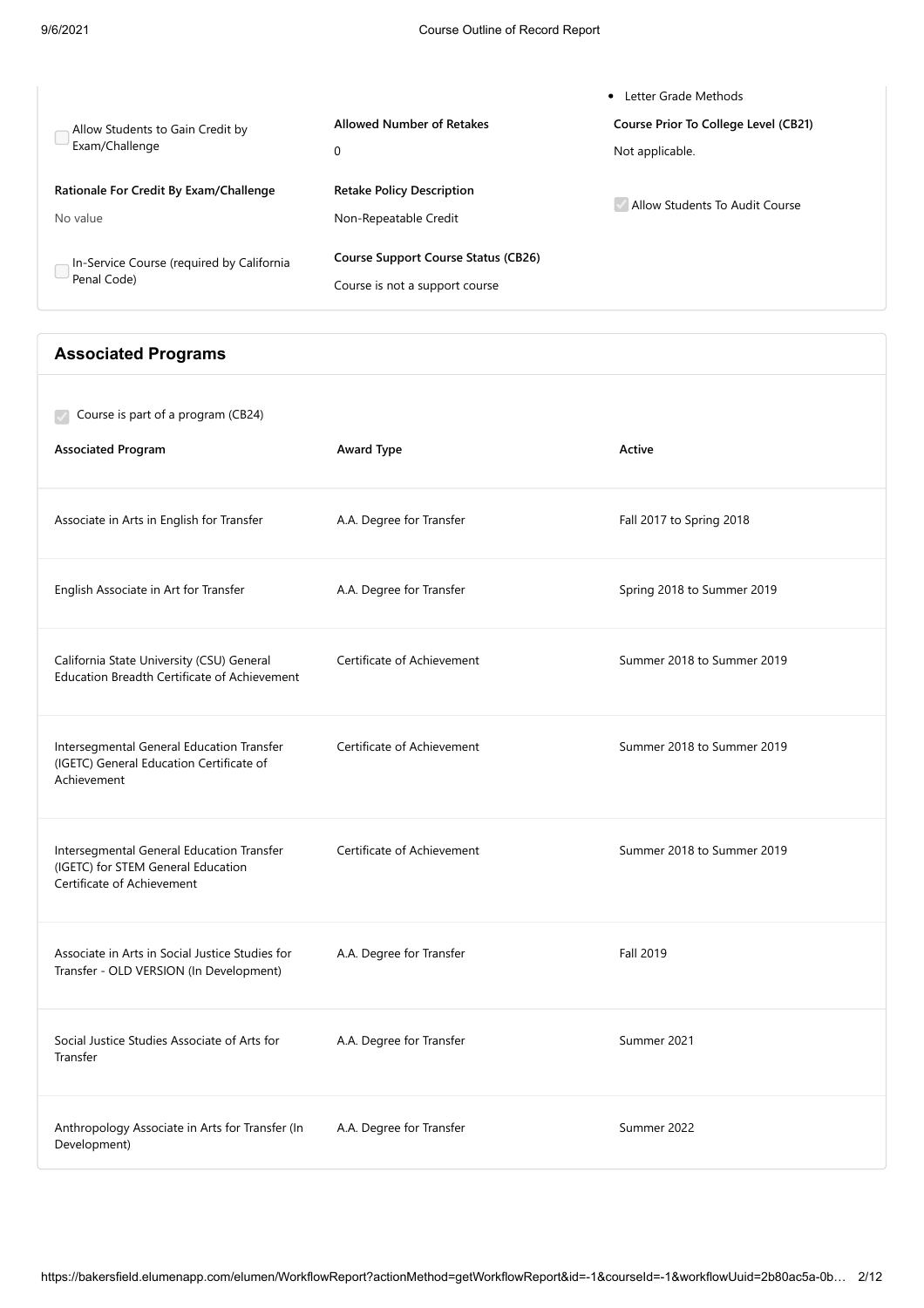|                                                          |                                                                              | Letter Grade Methods<br>٠            |
|----------------------------------------------------------|------------------------------------------------------------------------------|--------------------------------------|
| Allow Students to Gain Credit by                         | <b>Allowed Number of Retakes</b>                                             | Course Prior To College Level (CB21) |
| Exam/Challenge                                           | 0                                                                            | Not applicable.                      |
| Rationale For Credit By Exam/Challenge<br>No value       | <b>Retake Policy Description</b><br>Non-Repeatable Credit                    | Allow Students To Audit Course       |
| In-Service Course (required by California<br>Penal Code) | <b>Course Support Course Status (CB26)</b><br>Course is not a support course |                                      |

## **Associated Programs**

| Course is part of a program (CB24)<br><b>Associated Program</b>                                               | Award Type                 | Active                     |
|---------------------------------------------------------------------------------------------------------------|----------------------------|----------------------------|
| Associate in Arts in English for Transfer                                                                     | A.A. Degree for Transfer   | Fall 2017 to Spring 2018   |
| English Associate in Art for Transfer                                                                         | A.A. Degree for Transfer   | Spring 2018 to Summer 2019 |
| California State University (CSU) General<br><b>Education Breadth Certificate of Achievement</b>              | Certificate of Achievement | Summer 2018 to Summer 2019 |
| Intersegmental General Education Transfer<br>(IGETC) General Education Certificate of<br>Achievement          | Certificate of Achievement | Summer 2018 to Summer 2019 |
| Intersegmental General Education Transfer<br>(IGETC) for STEM General Education<br>Certificate of Achievement | Certificate of Achievement | Summer 2018 to Summer 2019 |
| Associate in Arts in Social Justice Studies for<br>Transfer - OLD VERSION (In Development)                    | A.A. Degree for Transfer   | Fall 2019                  |
| Social Justice Studies Associate of Arts for<br>Transfer                                                      | A.A. Degree for Transfer   | Summer 2021                |
| Anthropology Associate in Arts for Transfer (In<br>Development)                                               | A.A. Degree for Transfer   | Summer 2022                |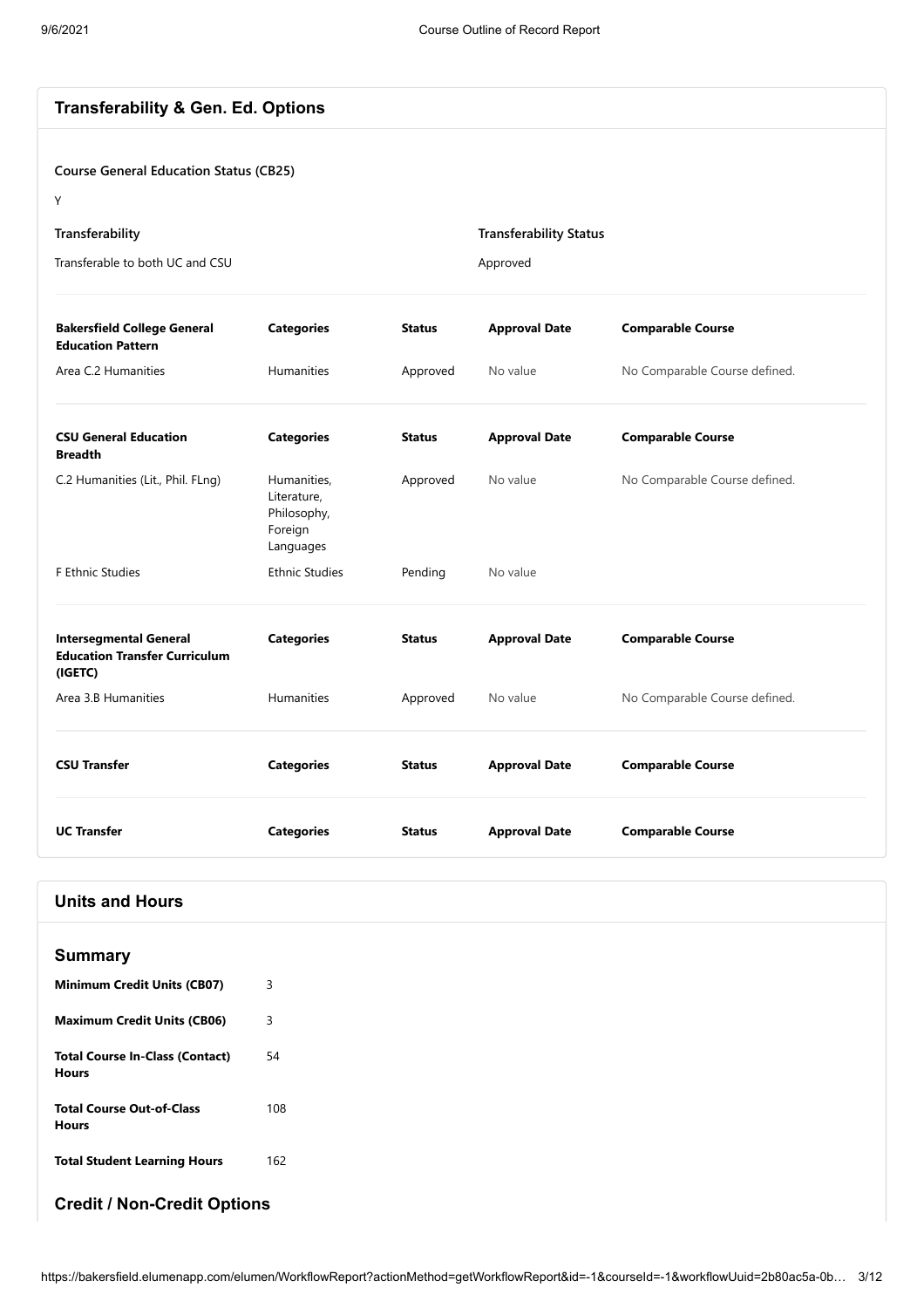## **Transferability & Gen. Ed. Options**

### **Course General Education Status (CB25)**

Y

| Transferability                 | <b>Transferability Status</b> |
|---------------------------------|-------------------------------|
| Transferable to both UC and CSU | Approved                      |

| <b>Bakersfield College General</b><br><b>Education Pattern</b>                   | <b>Categories</b>                                                 | <b>Status</b> | <b>Approval Date</b> | <b>Comparable Course</b>      |
|----------------------------------------------------------------------------------|-------------------------------------------------------------------|---------------|----------------------|-------------------------------|
| Area C.2 Humanities                                                              | <b>Humanities</b>                                                 | Approved      | No value             | No Comparable Course defined. |
| <b>CSU General Education</b><br><b>Breadth</b>                                   | <b>Categories</b>                                                 | <b>Status</b> | <b>Approval Date</b> | <b>Comparable Course</b>      |
| C.2 Humanities (Lit., Phil. FLng)                                                | Humanities,<br>Literature,<br>Philosophy,<br>Foreign<br>Languages | Approved      | No value             | No Comparable Course defined. |
| F Ethnic Studies                                                                 | <b>Ethnic Studies</b>                                             | Pending       | No value             |                               |
| <b>Intersegmental General</b><br><b>Education Transfer Curriculum</b><br>(IGETC) | <b>Categories</b>                                                 | <b>Status</b> | <b>Approval Date</b> | <b>Comparable Course</b>      |
| Area 3.B Humanities                                                              | <b>Humanities</b>                                                 | Approved      | No value             | No Comparable Course defined. |
| <b>CSU Transfer</b>                                                              | <b>Categories</b>                                                 | <b>Status</b> | <b>Approval Date</b> | <b>Comparable Course</b>      |
| <b>UC Transfer</b>                                                               | <b>Categories</b>                                                 | <b>Status</b> | <b>Approval Date</b> | <b>Comparable Course</b>      |

## **Units and Hours**

| <b>Summary</b>                                  |     |
|-------------------------------------------------|-----|
| <b>Minimum Credit Units (CB07)</b>              | 3   |
| <b>Maximum Credit Units (CB06)</b>              | 3   |
| <b>Total Course In-Class (Contact)</b><br>Hours | 54  |
| <b>Total Course Out-of-Class</b><br>Hours       | 108 |
| <b>Total Student Learning Hours</b>             | 162 |

## **Credit / Non-Credit Options**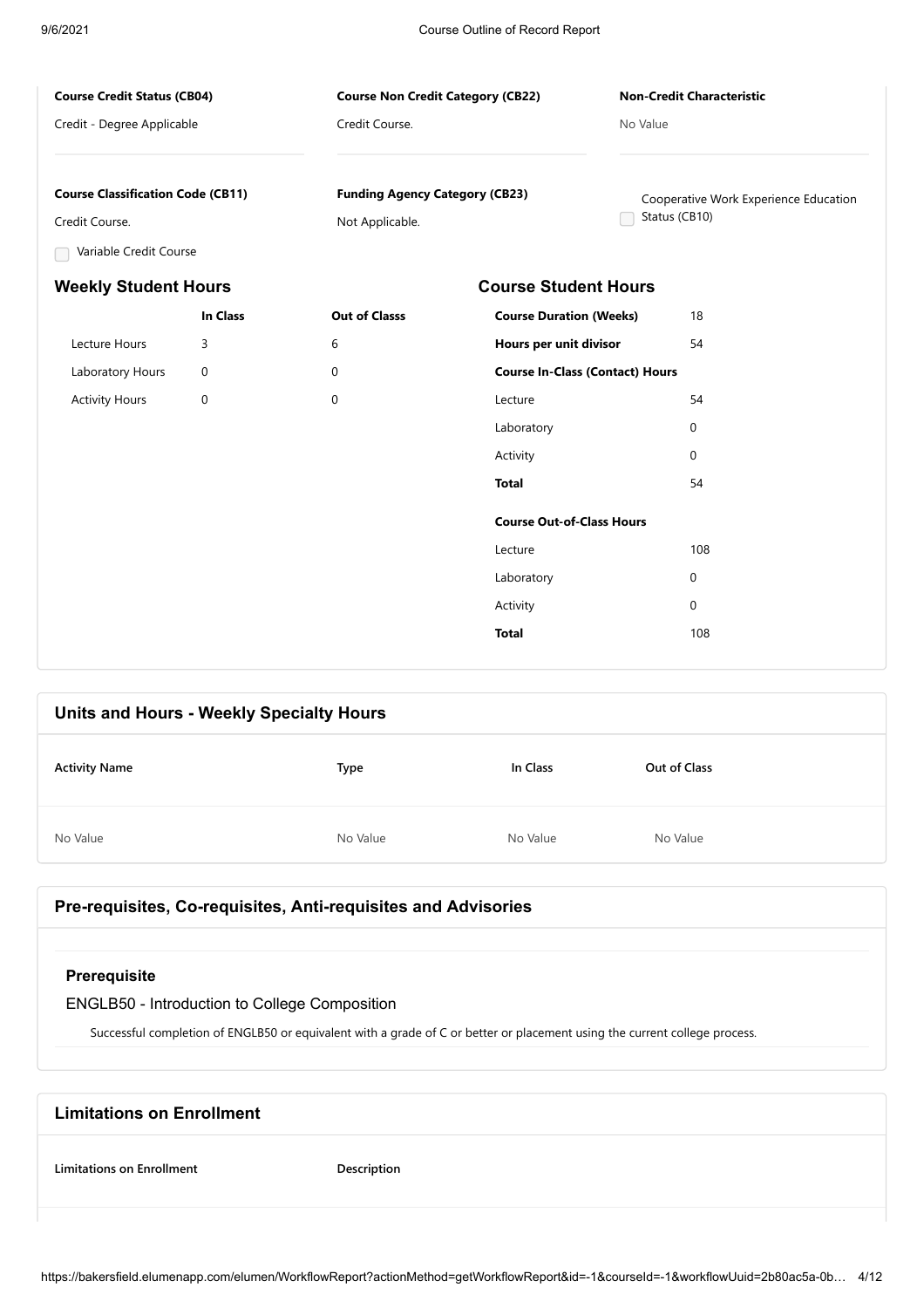**Course Non Credit Category (CB22)**

**Funding Agency Category (CB23)**

Credit Course.

Not Applicable.

### **Course Credit Status (CB04)**

Credit - Degree Applicable

### **Non-Credit Characteristic**

Cooperative Work Experience Education

No Value

Status (CB10)

### **Course Classification Code (CB11)**

Credit Course.

Variable Credit Course

## **Weekly Student Hours Course Student Hours**

|                       | <b>In Class</b> | <b>Out of Classs</b> | <b>Course Duration (Weeks)</b>         | 18          |
|-----------------------|-----------------|----------------------|----------------------------------------|-------------|
| Lecture Hours         | 3               | 6                    | Hours per unit divisor                 | 54          |
| Laboratory Hours      | $\mathbf 0$     | $\mathbf 0$          | <b>Course In-Class (Contact) Hours</b> |             |
| <b>Activity Hours</b> | $\mathbf 0$     | 0                    | Lecture                                | 54          |
|                       |                 |                      | Laboratory                             | $\mathbf 0$ |
|                       |                 |                      | Activity                               | $\mathbf 0$ |
|                       |                 |                      | <b>Total</b>                           | 54          |
|                       |                 |                      | <b>Course Out-of-Class Hours</b>       |             |
|                       |                 |                      | Lecture                                | 108         |
|                       |                 |                      | Laboratory                             | $\mathbf 0$ |
|                       |                 |                      | Activity                               | $\mathbf 0$ |
|                       |                 |                      | <b>Total</b>                           | 108         |
|                       |                 |                      |                                        |             |

| Units and Hours - Weekly Specialty Hours |          |          |              |
|------------------------------------------|----------|----------|--------------|
| <b>Activity Name</b>                     | Type     | In Class | Out of Class |
| No Value                                 | No Value | No Value | No Value     |

### **Pre-requisites, Co-requisites, Anti-requisites and Advisories**

### **Prerequisite**

## ENGLB50 - Introduction to College Composition

Successful completion of ENGLB50 or equivalent with a grade of C or better or placement using the current college process.

# **Limitations on Enrollment Limitations on Enrollment Description**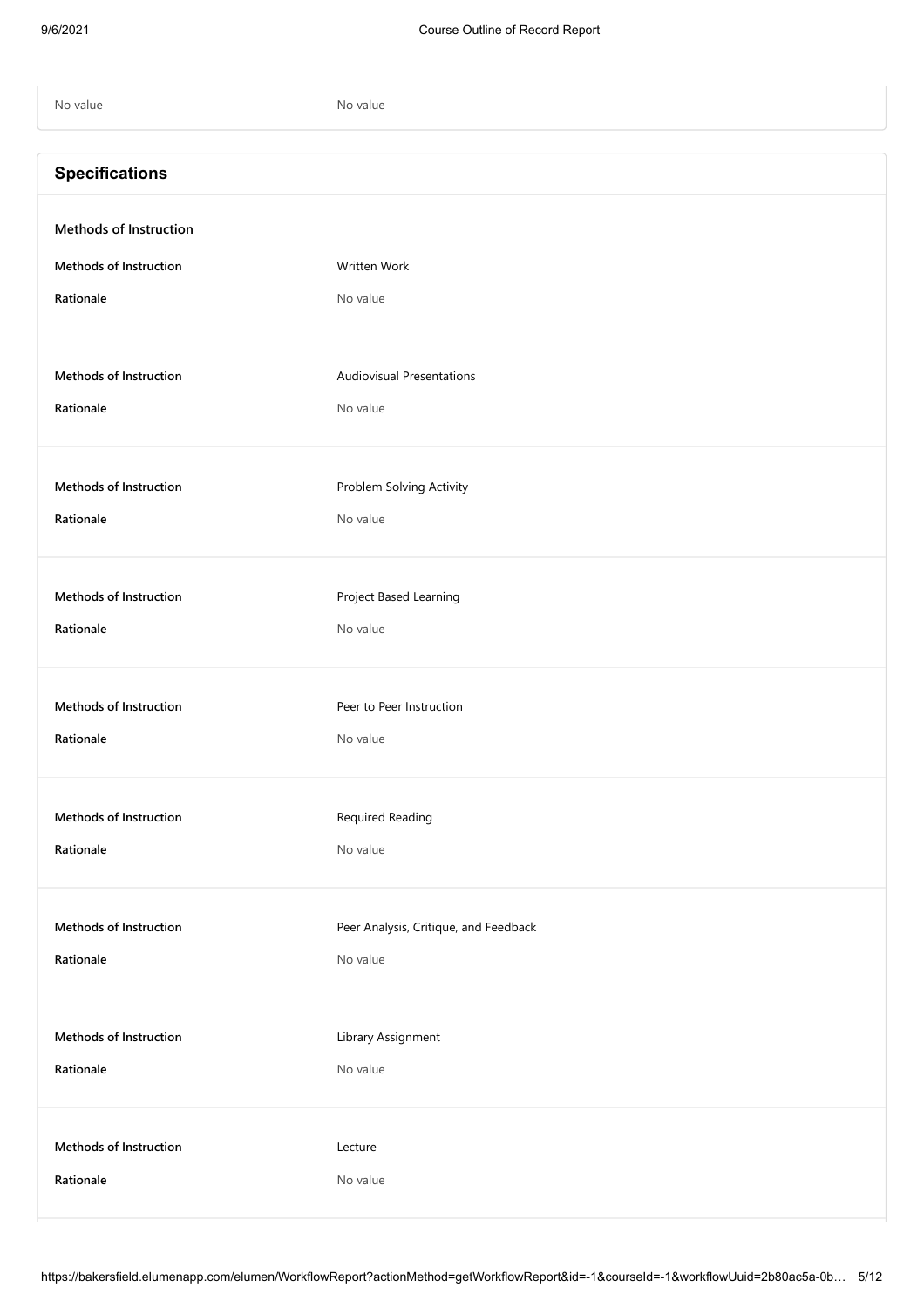| No value                      | No value                              |
|-------------------------------|---------------------------------------|
| <b>Specifications</b>         |                                       |
| <b>Methods of Instruction</b> |                                       |
| <b>Methods of Instruction</b> | Written Work                          |
| Rationale                     | No value                              |
| <b>Methods of Instruction</b> | <b>Audiovisual Presentations</b>      |
| Rationale                     | No value                              |
| <b>Methods of Instruction</b> | Problem Solving Activity              |
| Rationale                     | No value                              |
| <b>Methods of Instruction</b> |                                       |
| Rationale                     | Project Based Learning<br>No value    |
|                               |                                       |
| <b>Methods of Instruction</b> | Peer to Peer Instruction              |
| Rationale                     | No value                              |
| <b>Methods of Instruction</b> | Required Reading                      |
| Rationale                     | No value                              |
| Methods of Instruction        | Peer Analysis, Critique, and Feedback |
| Rationale                     | No value                              |
| Methods of Instruction        | Library Assignment                    |
| Rationale                     | No value                              |
| Methods of Instruction        | Lecture                               |
| Rationale                     | No value                              |
|                               |                                       |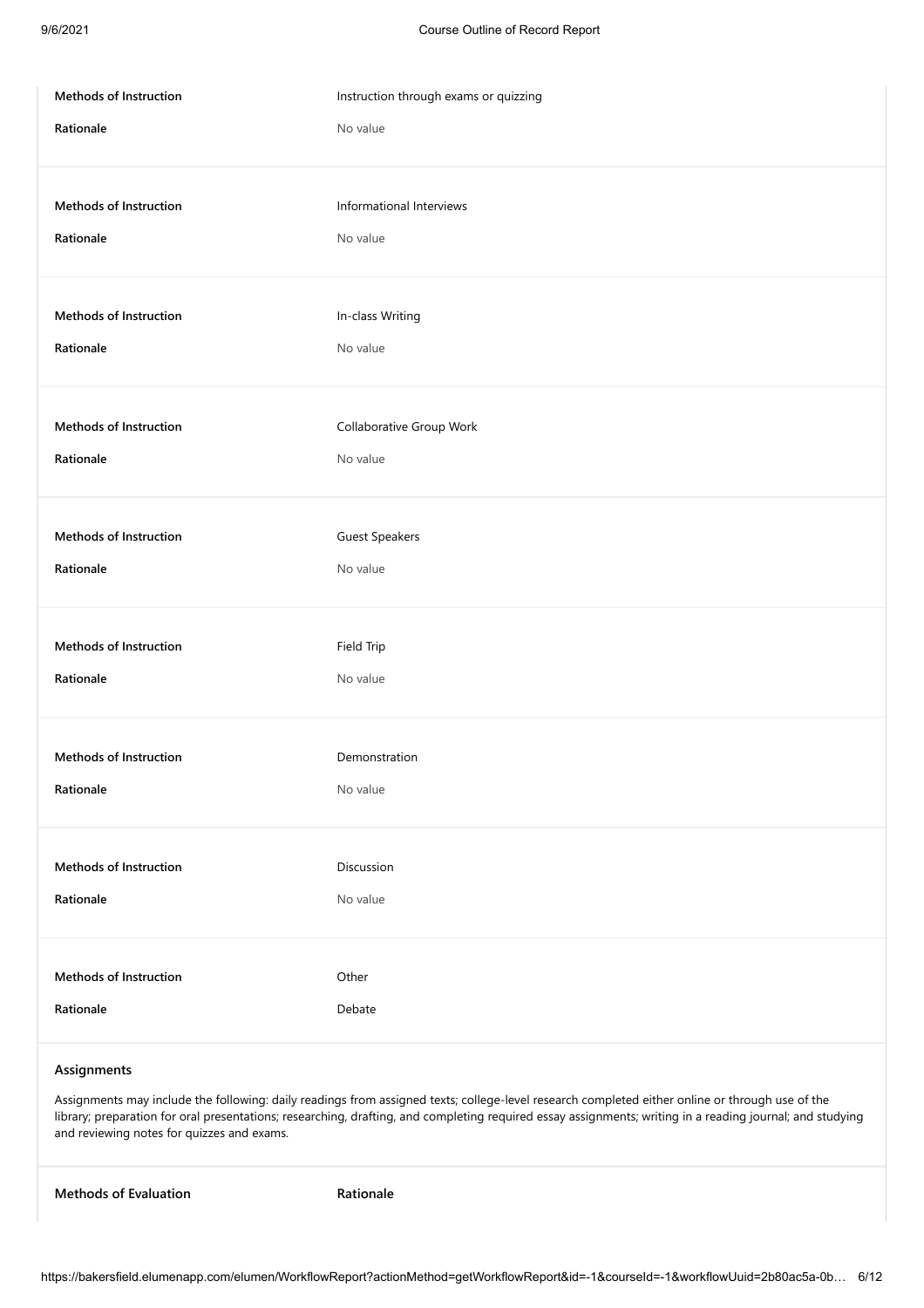| Methods of Instruction        | Instruction through exams or quizzing |
|-------------------------------|---------------------------------------|
| Rationale                     | No value                              |
| Methods of Instruction        | Informational Interviews              |
| Rationale                     | No value                              |
| Methods of Instruction        | In-class Writing                      |
| Rationale                     | No value                              |
| <b>Methods of Instruction</b> | Collaborative Group Work              |
| Rationale                     | No value                              |
| Methods of Instruction        | <b>Guest Speakers</b>                 |
| Rationale                     | No value                              |
| Methods of Instruction        | Field Trip                            |
| Rationale                     | No value                              |
| Methods of Instruction        | Demonstration                         |
| Rationale                     | No value                              |
| Methods of Instruction        | Discussion                            |
| Rationale                     | No value                              |
| Methods of Instruction        | Other                                 |
| Rationale                     | Debate                                |

### **Assignments**

Assignments may include the following: daily readings from assigned texts; college-level research completed either online or through use of the library; preparation for oral presentations; researching, drafting, and completing required essay assignments; writing in a reading journal; and studying and reviewing notes for quizzes and exams.

**Methods of Evaluation Rationale**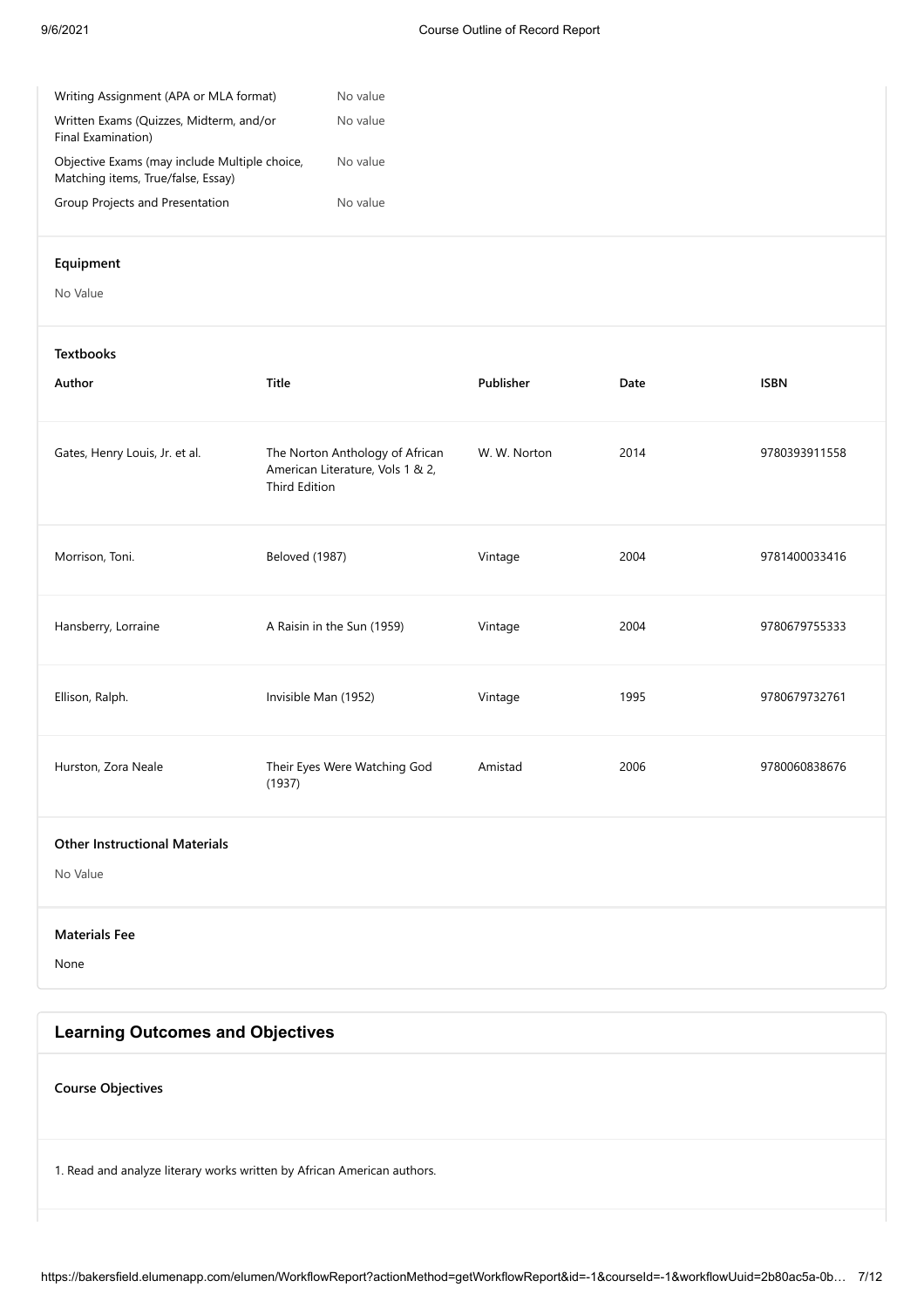| Writing Assignment (APA or MLA format)                                              | No value |
|-------------------------------------------------------------------------------------|----------|
| Written Exams (Quizzes, Midterm, and/or<br>Final Examination)                       | No value |
| Objective Exams (may include Multiple choice,<br>Matching items, True/false, Essay) | No value |
| Group Projects and Presentation                                                     | No value |

### **Equipment**

No Value

### **Textbooks**

| 9780393911558 |
|---------------|
| 9781400033416 |
| 9780679755333 |
| 9780679732761 |
| 9780060838676 |
|               |

### **Other Instructional Materials**

No Value

### **Materials Fee**

None

## **Learning Outcomes and Objectives**

**Course Objectives**

1. Read and analyze literary works written by African American authors.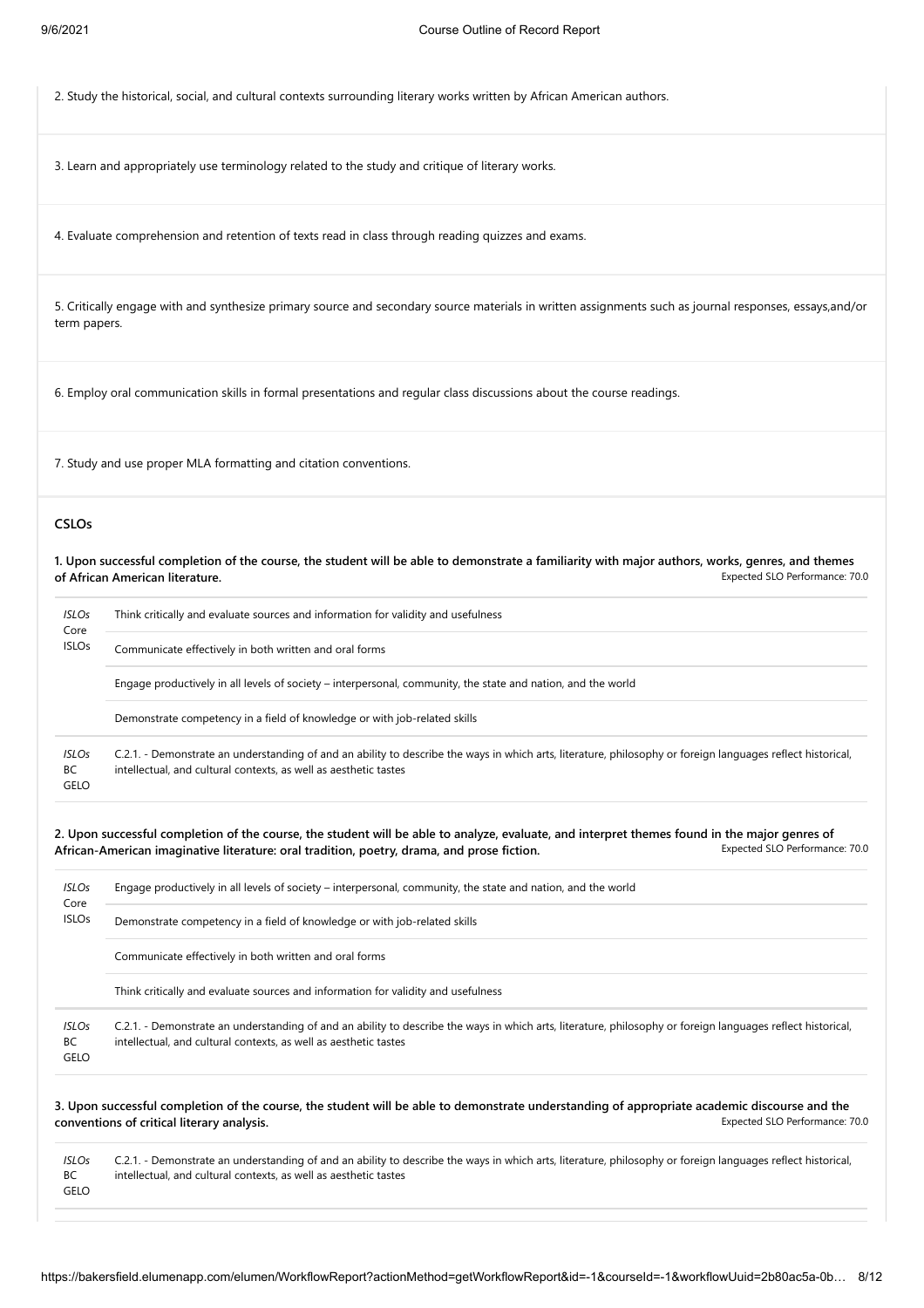2. Study the historical, social, and cultural contexts surrounding literary works written by African American authors.

3. Learn and appropriately use terminology related to the study and critique of literary works.

4. Evaluate comprehension and retention of texts read in class through reading quizzes and exams.

5. Critically engage with and synthesize primary source and secondary source materials in written assignments such as journal responses, essays,and/or term papers.

6. Employ oral communication skills in formal presentations and regular class discussions about the course readings.

7. Study and use proper MLA formatting and citation conventions.

### **CSLOs**

Expected SLO Performance: 70.0 **1. Upon successful completion of the course, the student will be able to demonstrate a familiarity with major authors, works, genres, and themes of African American literature.**

| <b>ISLOs</b><br>Core<br><b>ISLOs</b> | Think critically and evaluate sources and information for validity and usefulness                                                                                                                                               |
|--------------------------------------|---------------------------------------------------------------------------------------------------------------------------------------------------------------------------------------------------------------------------------|
|                                      | Communicate effectively in both written and oral forms                                                                                                                                                                          |
|                                      | Engage productively in all levels of society – interpersonal, community, the state and nation, and the world                                                                                                                    |
|                                      | Demonstrate competency in a field of knowledge or with job-related skills                                                                                                                                                       |
| <b>ISLOs</b><br>BC<br><b>GELO</b>    | C.2.1. - Demonstrate an understanding of and an ability to describe the ways in which arts, literature, philosophy or foreign languages reflect historical,<br>intellectual, and cultural contexts, as well as aesthetic tastes |

Expected SLO Performance: 70.0 **2. Upon successful completion of the course, the student will be able to analyze, evaluate, and interpret themes found in the major genres of African-American imaginative literature: oral tradition, poetry, drama, and prose fiction.**

| <b>ISLOs</b><br>Core<br><b>ISLOs</b> | Engage productively in all levels of society – interpersonal, community, the state and nation, and the world                                                                                                                    |
|--------------------------------------|---------------------------------------------------------------------------------------------------------------------------------------------------------------------------------------------------------------------------------|
|                                      | Demonstrate competency in a field of knowledge or with job-related skills                                                                                                                                                       |
|                                      | Communicate effectively in both written and oral forms                                                                                                                                                                          |
|                                      | Think critically and evaluate sources and information for validity and usefulness                                                                                                                                               |
| <b>ISLOs</b><br>BC<br>GELO           | C.2.1. - Demonstrate an understanding of and an ability to describe the ways in which arts, literature, philosophy or foreign languages reflect historical,<br>intellectual, and cultural contexts, as well as aesthetic tastes |

Expected SLO Performance: 70.0 **3. Upon successful completion of the course, the student will be able to demonstrate understanding of appropriate academic discourse and the conventions of critical literary analysis.**

| ISLOs     | C.2.1. - Demonstrate an understanding of and an ability to describe the ways in which arts, literature, philosophy or foreign languages reflect historical, |
|-----------|-------------------------------------------------------------------------------------------------------------------------------------------------------------|
| <b>BC</b> | intellectual, and cultural contexts, as well as aesthetic tastes                                                                                            |
| GELO      |                                                                                                                                                             |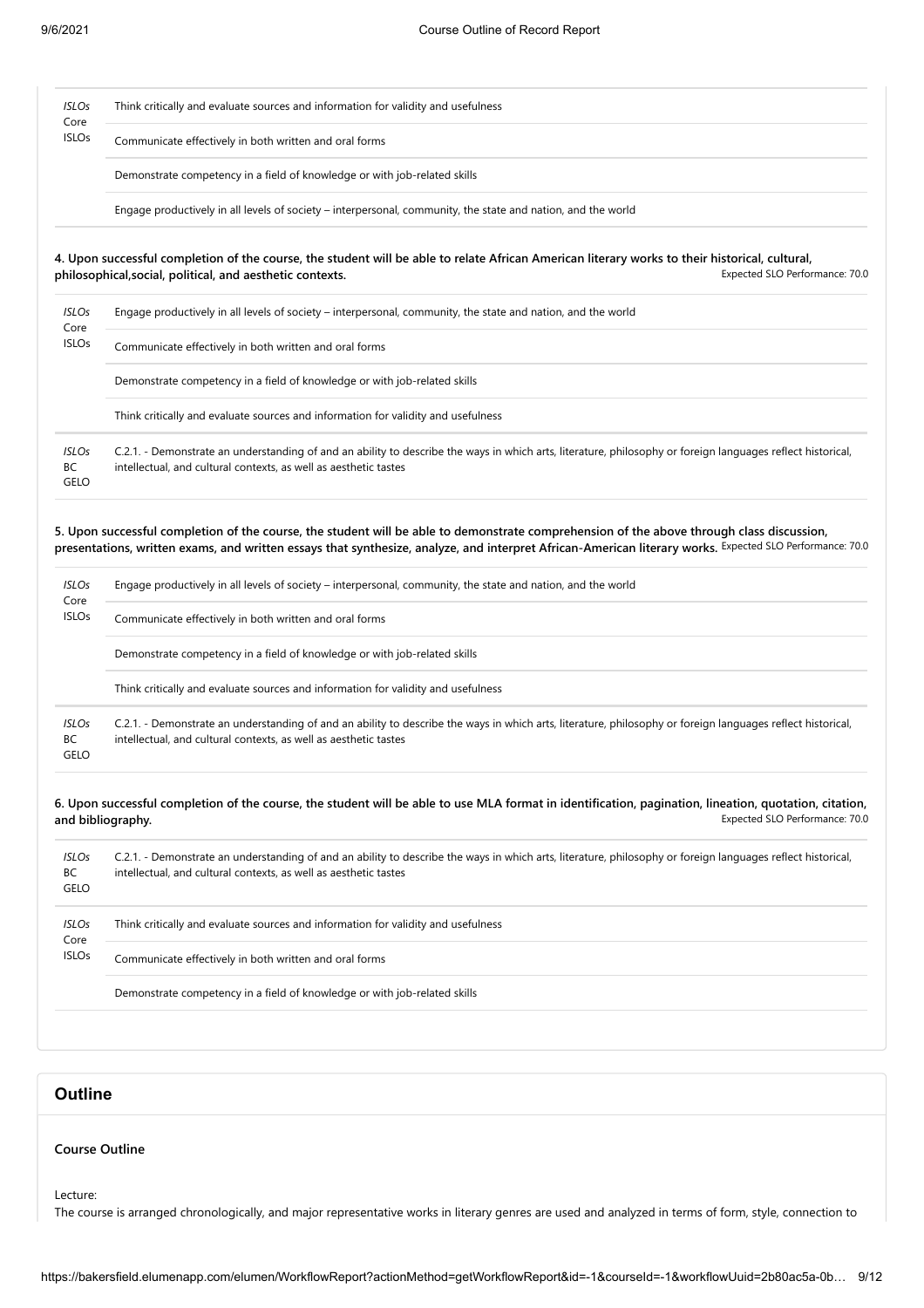| ISLOs<br>Core<br><b>ISLOs</b> | Think critically and evaluate sources and information for validity and usefulness |
|-------------------------------|-----------------------------------------------------------------------------------|
|                               | Communicate effectively in both written and oral forms                            |
|                               | Demonstrate competency in a field of knowledge or with job-related skills         |
|                               |                                                                                   |

Engage productively in all levels of society – interpersonal, community, the state and nation, and the world

### Expected SLO Performance: 70.0 **4. Upon successful completion of the course, the student will be able to relate African American literary works to their historical, cultural, philosophical,social, political, and aesthetic contexts.**

| ISLOs<br>Core<br><b>ISLOs</b> | Engage productively in all levels of society – interpersonal, community, the state and nation, and the world                                                                                                                    |
|-------------------------------|---------------------------------------------------------------------------------------------------------------------------------------------------------------------------------------------------------------------------------|
|                               | Communicate effectively in both written and oral forms                                                                                                                                                                          |
|                               | Demonstrate competency in a field of knowledge or with job-related skills                                                                                                                                                       |
|                               | Think critically and evaluate sources and information for validity and usefulness                                                                                                                                               |
| <b>ISLOs</b><br>BC<br>GELO    | C.2.1. - Demonstrate an understanding of and an ability to describe the ways in which arts, literature, philosophy or foreign languages reflect historical,<br>intellectual, and cultural contexts, as well as aesthetic tastes |

presentations, written exams, and written essays that synthesize, analyze, and interpret African-American literary works. Expected SLO Performance: 70.0 **5. Upon successful completion of the course, the student will be able to demonstrate comprehension of the above through class discussion,**

| <b>ISLOs</b><br>Core<br><b>ISLOs</b> | Engage productively in all levels of society – interpersonal, community, the state and nation, and the world                                                                                                                    |
|--------------------------------------|---------------------------------------------------------------------------------------------------------------------------------------------------------------------------------------------------------------------------------|
|                                      | Communicate effectively in both written and oral forms                                                                                                                                                                          |
|                                      | Demonstrate competency in a field of knowledge or with job-related skills                                                                                                                                                       |
|                                      | Think critically and evaluate sources and information for validity and usefulness                                                                                                                                               |
| <b>ISLOs</b><br>ВC<br><b>GELO</b>    | C.2.1. - Demonstrate an understanding of and an ability to describe the ways in which arts, literature, philosophy or foreign languages reflect historical,<br>intellectual, and cultural contexts, as well as aesthetic tastes |

#### Expected SLO Performance: 70.0 **6. Upon successful completion of the course, the student will be able to use MLA format in identification, pagination, lineation, quotation, citation, and bibliography.**

| ISLOs<br>BC<br>GELO                  | C.2.1. - Demonstrate an understanding of and an ability to describe the ways in which arts, literature, philosophy or foreign languages reflect historical,<br>intellectual, and cultural contexts, as well as aesthetic tastes |
|--------------------------------------|---------------------------------------------------------------------------------------------------------------------------------------------------------------------------------------------------------------------------------|
| <b>ISLOs</b><br>Core<br><b>ISLOs</b> | Think critically and evaluate sources and information for validity and usefulness                                                                                                                                               |
|                                      | Communicate effectively in both written and oral forms                                                                                                                                                                          |
|                                      |                                                                                                                                                                                                                                 |

Demonstrate competency in a field of knowledge or with job-related skills

## **Outline**

### **Course Outline**

Lecture:

The course is arranged chronologically, and major representative works in literary genres are used and analyzed in terms of form, style, connection to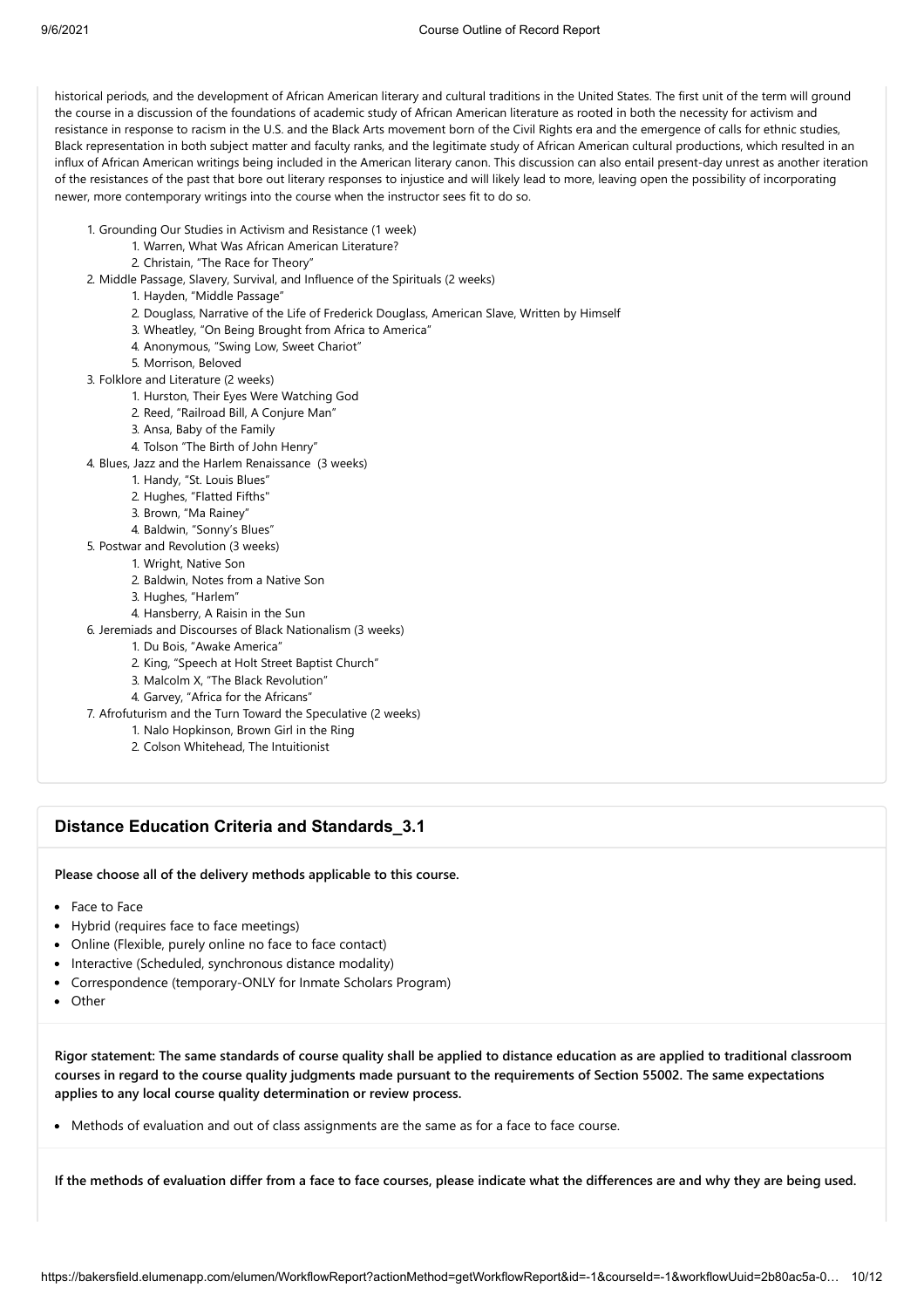historical periods, and the development of African American literary and cultural traditions in the United States. The first unit of the term will ground the course in a discussion of the foundations of academic study of African American literature as rooted in both the necessity for activism and resistance in response to racism in the U.S. and the Black Arts movement born of the Civil Rights era and the emergence of calls for ethnic studies, Black representation in both subject matter and faculty ranks, and the legitimate study of African American cultural productions, which resulted in an influx of African American writings being included in the American literary canon. This discussion can also entail present-day unrest as another iteration of the resistances of the past that bore out literary responses to injustice and will likely lead to more, leaving open the possibility of incorporating newer, more contemporary writings into the course when the instructor sees fit to do so.

- 1. Grounding Our Studies in Activism and Resistance (1 week)
	- 1. Warren, What Was African American Literature?
	- 2. Christain, "The Race for Theory"
- 2. Middle Passage, Slavery, Survival, and Influence of the Spirituals (2 weeks)
	- 1. Hayden, "Middle Passage"
	- 2. Douglass, Narrative of the Life of Frederick Douglass, American Slave, Written by Himself
	- 3. Wheatley, "On Being Brought from Africa to America"
	- 4. Anonymous, "Swing Low, Sweet Chariot"
	- 5. Morrison, Beloved
- 3. Folklore and Literature (2 weeks)
	- 1. Hurston, Their Eyes Were Watching God
	- 2. Reed, "Railroad Bill, A Conjure Man"
	- 3. Ansa, Baby of the Family
	- 4. Tolson "The Birth of John Henry"
- 4. Blues, Jazz and the Harlem Renaissance (3 weeks)
	- 1. Handy, "St. Louis Blues"
	- 2. Hughes, "Flatted Fifths"
	- 3. Brown, "Ma Rainey"
	- 4. Baldwin, "Sonny's Blues"
- 5. Postwar and Revolution (3 weeks)
	- 1. Wright, Native Son
		- 2. Baldwin, Notes from a Native Son
		- 3. Hughes, "Harlem"
		- 4. Hansberry, A Raisin in the Sun
- 6. Jeremiads and Discourses of Black Nationalism (3 weeks)
	- 1. Du Bois, "Awake America"
	- 2. King, "Speech at Holt Street Baptist Church"
	- 3. Malcolm X, "The Black Revolution"
	- 4. Garvey, "Africa for the Africans"
- 7. Afrofuturism and the Turn Toward the Speculative (2 weeks)
	- 1. Nalo Hopkinson, Brown Girl in the Ring
		- 2. Colson Whitehead, The Intuitionist

### **Distance Education Criteria and Standards\_3.1**

**Please choose all of the delivery methods applicable to this course.**

- Face to Face
- Hybrid (requires face to face meetings)
- Online (Flexible, purely online no face to face contact)
- Interactive (Scheduled, synchronous distance modality)
- Correspondence (temporary-ONLY for Inmate Scholars Program)
- Other

**Rigor statement: The same standards of course quality shall be applied to distance education as are applied to traditional classroom courses in regard to the course quality judgments made pursuant to the requirements of Section 55002. The same expectations applies to any local course quality determination or review process.**

• Methods of evaluation and out of class assignments are the same as for a face to face course.

**If the methods of evaluation differ from a face to face courses, please indicate what the differences are and why they are being used.**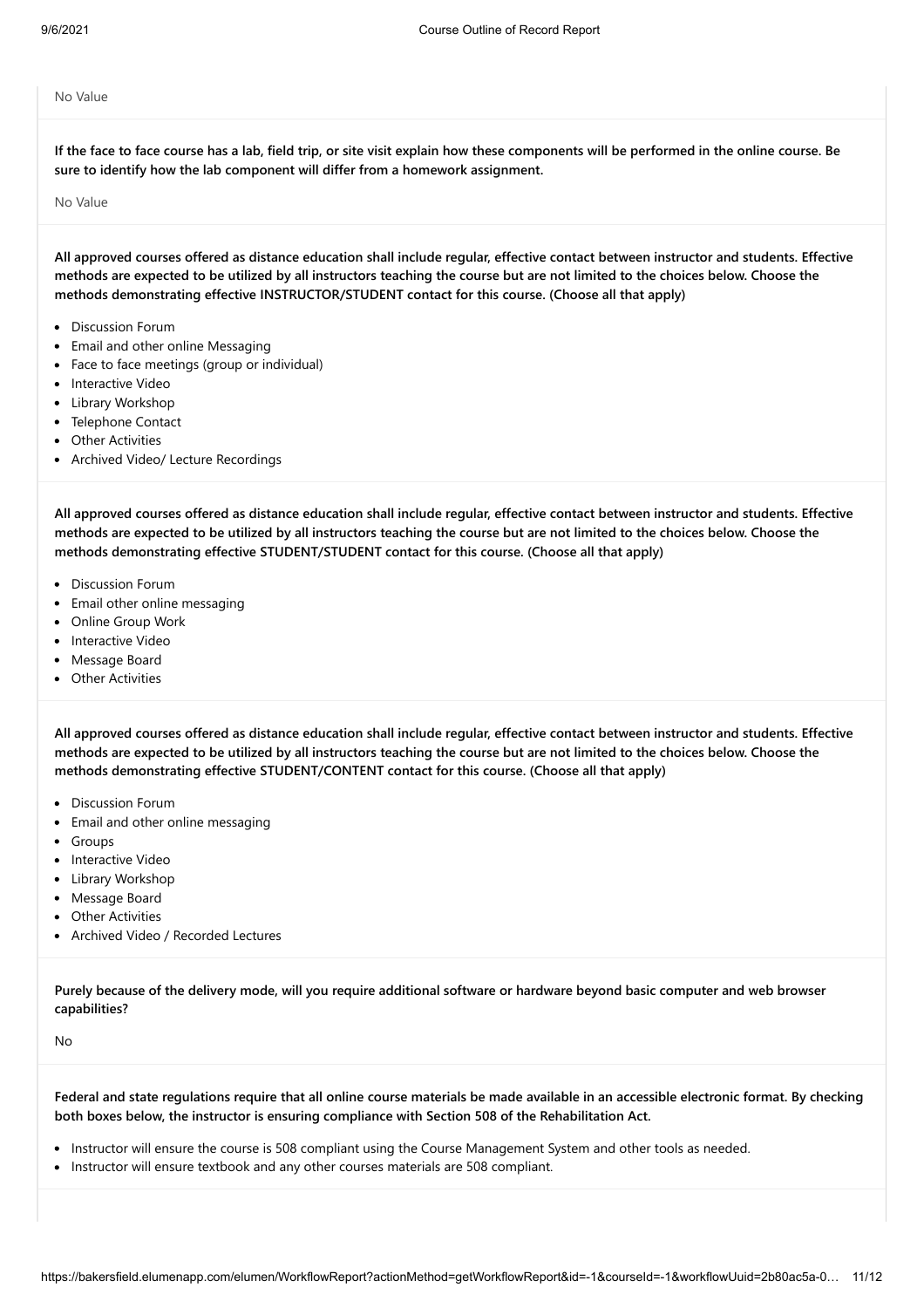No Value

**If the face to face course has a lab, field trip, or site visit explain how these components will be performed in the online course. Be sure to identify how the lab component will differ from a homework assignment.**

No Value

**All approved courses offered as distance education shall include regular, effective contact between instructor and students. Effective methods are expected to be utilized by all instructors teaching the course but are not limited to the choices below. Choose the methods demonstrating effective INSTRUCTOR/STUDENT contact for this course. (Choose all that apply)**

- Discussion Forum
- Email and other online Messaging
- Face to face meetings (group or individual)
- Interactive Video
- Library Workshop
- Telephone Contact
- Other Activities
- Archived Video/ Lecture Recordings

**All approved courses offered as distance education shall include regular, effective contact between instructor and students. Effective methods are expected to be utilized by all instructors teaching the course but are not limited to the choices below. Choose the methods demonstrating effective STUDENT/STUDENT contact for this course. (Choose all that apply)**

- Discussion Forum
- Email other online messaging
- Online Group Work
- Interactive Video
- Message Board
- Other Activities

**All approved courses offered as distance education shall include regular, effective contact between instructor and students. Effective methods are expected to be utilized by all instructors teaching the course but are not limited to the choices below. Choose the methods demonstrating effective STUDENT/CONTENT contact for this course. (Choose all that apply)**

- Discussion Forum
- Email and other online messaging
- Groups
- Interactive Video
- Library Workshop
- Message Board
- Other Activities
- Archived Video / Recorded Lectures

**Purely because of the delivery mode, will you require additional software or hardware beyond basic computer and web browser capabilities?**

No

**Federal and state regulations require that all online course materials be made available in an accessible electronic format. By checking both boxes below, the instructor is ensuring compliance with Section 508 of the Rehabilitation Act.**

- Instructor will ensure the course is 508 compliant using the Course Management System and other tools as needed.
- Instructor will ensure textbook and any other courses materials are 508 compliant.